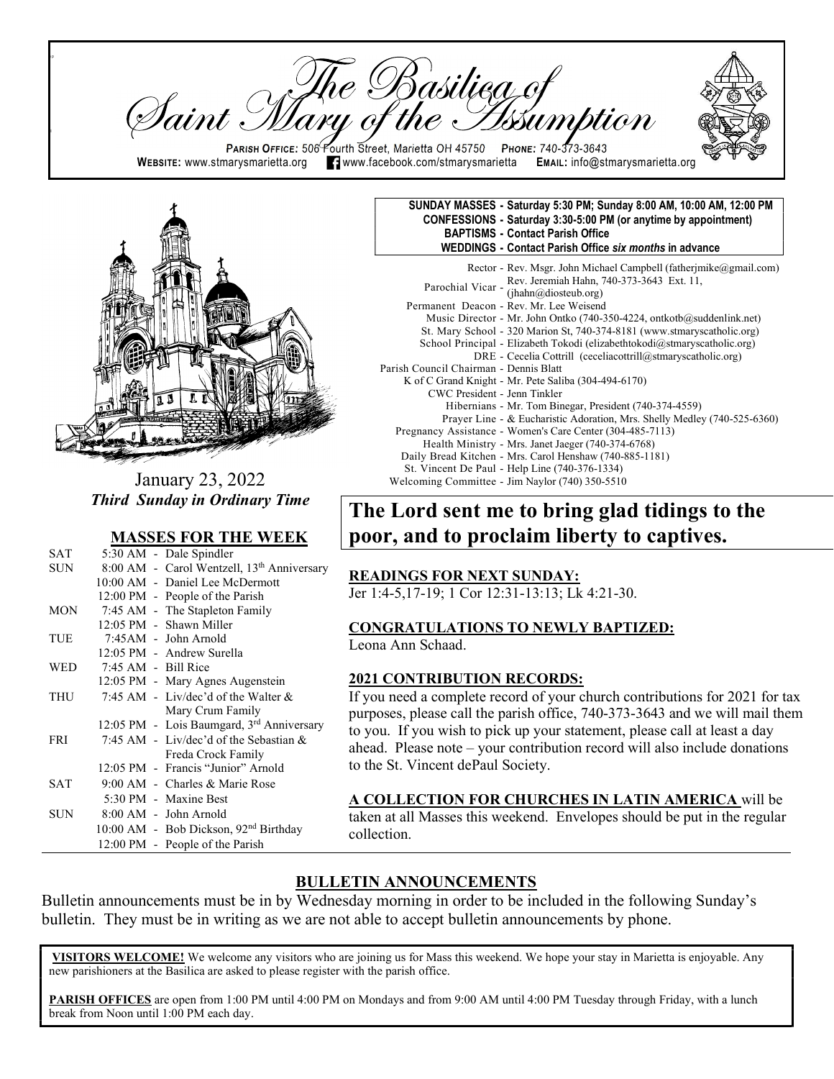Basilieg of Iaint . PARISH OFFICE: 506 Fourth Street, Marietta OH 45750 PHONE: 740-373-3643 WEBSITE: www.stmarysmarietta.org **19. Webbook.com/stmarysmarietta EMAIL:** info@stmarysmarietta.org



 $\mathsf{p}$ 

ll

January 23, 2022 Third Sunday in Ordinary Time

#### MASSES FOR THE WEEK

| <b>SAT</b> |                       | 5:30 AM - Dale Spindler                                |
|------------|-----------------------|--------------------------------------------------------|
| SUN        |                       | 8:00 AM - Carol Wentzell, 13 <sup>th</sup> Anniversary |
|            |                       | 10:00 AM - Daniel Lee McDermott                        |
|            |                       | 12:00 PM - People of the Parish                        |
| <b>MON</b> |                       | 7:45 AM - The Stapleton Family                         |
|            |                       | 12:05 PM - Shawn Miller                                |
| TUE        |                       | 7:45AM - John Arnold                                   |
|            |                       | 12:05 PM - Andrew Surella                              |
| <b>WED</b> | $7:45$ AM - Bill Rice |                                                        |
|            |                       | 12:05 PM - Mary Agnes Augenstein                       |
| THU        |                       | 7:45 AM - Liv/dec'd of the Walter $&$                  |
|            |                       | Mary Crum Family                                       |
|            |                       | 12:05 PM - Lois Baumgard, 3rd Anniversary              |
| <b>FRI</b> |                       | 7:45 AM - Liv/dec'd of the Sebastian $&$               |
|            |                       | Freda Crock Family                                     |
|            |                       | 12:05 PM - Francis "Junior" Arnold                     |
| <b>SAT</b> |                       | 9:00 AM - Charles & Marie Rose                         |
|            |                       | 5:30 PM - Maxine Best                                  |
| SUN.       |                       | $8:00$ AM - John Arnold                                |
|            |                       | 10:00 AM - Bob Dickson, 92 <sup>nd</sup> Birthday      |
|            |                       | 12:00 PM - People of the Parish                        |

#### SUNDAY MASSES - Saturday 5:30 PM; Sunday 8:00 AM, 10:00 AM, 12:00 PM CONFESSIONS - Saturday 3:30-5:00 PM (or anytime by appointment) BAPTISMS - Contact Parish Office WEDDINGS - Contact Parish Office six months in advance

 Rector - Rev. Msgr. John Michael Campbell (fatherjmike@gmail.com) Parochial Vicar - Rev. Jeremiah Hahn, 740-373-3643 Ext. 11, (jhahn@diosteub.org) Permanent Deacon - Rev. Mr. Lee Weisend Music Director - Mr. John Ontko (740-350-4224, ontkotb@suddenlink.net) St. Mary School - 320 Marion St, 740-374-8181 (www.stmaryscatholic.org) School Principal - Elizabeth Tokodi (elizabethtokodi@stmaryscatholic.org) DRE - Cecelia Cottrill (ceceliacottrill@stmaryscatholic.org) Parish Council Chairman - Dennis Blatt K of C Grand Knight - Mr. Pete Saliba (304-494-6170) CWC President - Jenn Tinkler Hibernians - Mr. Tom Binegar, President (740-374-4559) Prayer Line - & Eucharistic Adoration, Mrs. Shelly Medley (740-525-6360) Pregnancy Assistance - Women's Care Center (304-485-7113) Health Ministry - Mrs. Janet Jaeger (740-374-6768) Daily Bread Kitchen - Mrs. Carol Henshaw (740-885-1181) St. Vincent De Paul - Help Line (740-376-1334) Welcoming Committee - Jim Naylor (740) 350-5510

# The Lord sent me to bring glad tidings to the poor, and to proclaim liberty to captives.

#### READINGS FOR NEXT SUNDAY:

Jer 1:4-5,17-19; 1 Cor 12:31-13:13; Lk 4:21-30.

#### CONGRATULATIONS TO NEWLY BAPTIZED:

Leona Ann Schaad.

#### 2021 CONTRIBUTION RECORDS:

If you need a complete record of your church contributions for 2021 for tax purposes, please call the parish office, 740-373-3643 and we will mail them to you. If you wish to pick up your statement, please call at least a day ahead. Please note – your contribution record will also include donations to the St. Vincent dePaul Society.

A COLLECTION FOR CHURCHES IN LATIN AMERICA will be taken at all Masses this weekend. Envelopes should be put in the regular collection.

## BULLETIN ANNOUNCEMENTS

Bulletin announcements must be in by Wednesday morning in order to be included in the following Sunday's bulletin. They must be in writing as we are not able to accept bulletin announcements by phone.

VISITORS WELCOME! We welcome any visitors who are joining us for Mass this weekend. We hope your stay in Marietta is enjoyable. Any new parishioners at the Basilica are asked to please register with the parish office.

PARISH OFFICES are open from 1:00 PM until 4:00 PM on Mondays and from 9:00 AM until 4:00 PM Tuesday through Friday, with a lunch break from Noon until 1:00 PM each day.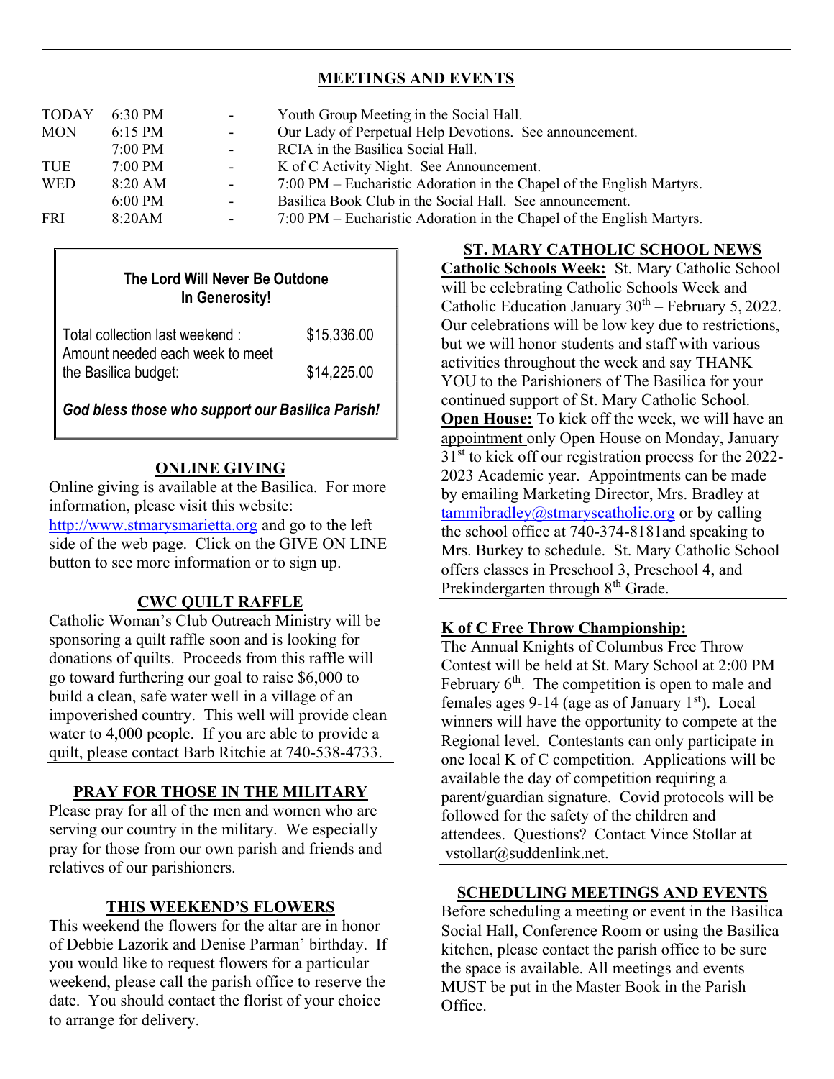## MEETINGS AND EVENTS

| <b>TODAY</b><br><b>MON</b> | 6:30 PM<br>$6:15 \text{ PM}$<br>$7:00 \text{ PM}$ | $\sim 100$<br>$\sim 100$<br>$\sim 100$ | Youth Group Meeting in the Social Hall.<br>Our Lady of Perpetual Help Devotions. See announcement.<br>RCIA in the Basilica Social Hall. |
|----------------------------|---------------------------------------------------|----------------------------------------|-----------------------------------------------------------------------------------------------------------------------------------------|
| <b>TUE</b><br><b>WED</b>   | $7:00$ PM<br>$8:20$ AM                            | $\sim 100$<br>$\sim$                   | K of C Activity Night. See Announcement.<br>7:00 PM – Eucharistic Adoration in the Chapel of the English Martyrs.                       |
| FRI                        | $6:00$ PM<br>8:20AM                               | $\blacksquare$                         | Basilica Book Club in the Social Hall. See announcement.<br>7:00 PM – Eucharistic Adoration in the Chapel of the English Martyrs.       |

## The Lord Will Never Be Outdone In Generosity!

| Total collection last weekend:  | \$15,336.00 |
|---------------------------------|-------------|
| Amount needed each week to meet |             |
| the Basilica budget:            | \$14,225.00 |
|                                 |             |

God bless those who support our Basilica Parish!

#### ONLINE GIVING

Online giving is available at the Basilica. For more information, please visit this website: http://www.stmarysmarietta.org and go to the left side of the web page. Click on the GIVE ON LINE button to see more information or to sign up.

## CWC QUILT RAFFLE

Catholic Woman's Club Outreach Ministry will be sponsoring a quilt raffle soon and is looking for donations of quilts. Proceeds from this raffle will go toward furthering our goal to raise \$6,000 to build a clean, safe water well in a village of an impoverished country. This well will provide clean water to 4,000 people. If you are able to provide a quilt, please contact Barb Ritchie at 740-538-4733.

## PRAY FOR THOSE IN THE MILITARY

Please pray for all of the men and women who are serving our country in the military. We especially pray for those from our own parish and friends and relatives of our parishioners.

#### THIS WEEKEND'S FLOWERS

This weekend the flowers for the altar are in honor of Debbie Lazorik and Denise Parman' birthday. If you would like to request flowers for a particular weekend, please call the parish office to reserve the date. You should contact the florist of your choice to arrange for delivery.

ST. MARY CATHOLIC SCHOOL NEWS Catholic Schools Week: St. Mary Catholic School will be celebrating Catholic Schools Week and Catholic Education January  $30<sup>th</sup>$  – February 5, 2022. Our celebrations will be low key due to restrictions, but we will honor students and staff with various activities throughout the week and say THANK YOU to the Parishioners of The Basilica for your continued support of St. Mary Catholic School. Open House: To kick off the week, we will have an appointment only Open House on Monday, January  $31<sup>st</sup>$  to kick off our registration process for the 2022-2023 Academic year. Appointments can be made by emailing Marketing Director, Mrs. Bradley at  $tammibradley@stmaryscatholic.org$  or by calling the school office at 740-374-8181and speaking to Mrs. Burkey to schedule. St. Mary Catholic School offers classes in Preschool 3, Preschool 4, and Prekindergarten through 8<sup>th</sup> Grade.

## K of C Free Throw Championship:

The Annual Knights of Columbus Free Throw Contest will be held at St. Mary School at 2:00 PM February  $6<sup>th</sup>$ . The competition is open to male and females ages 9-14 (age as of January  $1<sup>st</sup>$ ). Local winners will have the opportunity to compete at the Regional level. Contestants can only participate in one local K of C competition. Applications will be available the day of competition requiring a parent/guardian signature. Covid protocols will be followed for the safety of the children and attendees. Questions? Contact Vince Stollar at vstollar@suddenlink.net.

#### SCHEDULING MEETINGS AND EVENTS

Before scheduling a meeting or event in the Basilica Social Hall, Conference Room or using the Basilica kitchen, please contact the parish office to be sure the space is available. All meetings and events MUST be put in the Master Book in the Parish Office.